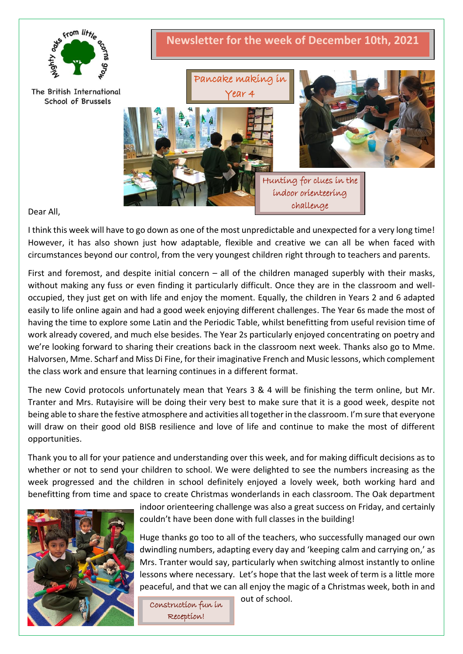

Dear All,

I think this week will have to go down as one of the most unpredictable and unexpected for a very long time! However, it has also shown just how adaptable, flexible and creative we can all be when faced with circumstances beyond our control, from the very youngest children right through to teachers and parents.

First and foremost, and despite initial concern  $-$  all of the children managed superbly with their masks, without making any fuss or even finding it particularly difficult. Once they are in the classroom and welloccupied, they just get on with life and enjoy the moment. Equally, the children in Years 2 and 6 adapted easily to life online again and had a good week enjoying different challenges. The Year 6s made the most of having the time to explore some Latin and the Periodic Table, whilst benefitting from useful revision time of work already covered, and much else besides. The Year 2s particularly enjoyed concentrating on poetry and we're looking forward to sharing their creations back in the classroom next week. Thanks also go to Mme. Halvorsen, Mme. Scharf and Miss Di Fine, for their imaginative French and Music lessons, which complement the class work and ensure that learning continues in a different format.

The new Covid protocols unfortunately mean that Years 3 & 4 will be finishing the term online, but Mr. Tranter and Mrs. Rutayisire will be doing their very best to make sure that it is a good week, despite not being able to share the festive atmosphere and activities all together in the classroom. I'm sure that everyone will draw on their good old BISB resilience and love of life and continue to make the most of different opportunities.

Thank you to all for your patience and understanding over this week, and for making difficult decisions as to whether or not to send your children to school. We were delighted to see the numbers increasing as the week progressed and the children in school definitely enjoyed a lovely week, both working hard and benefitting from time and space to create Christmas wonderlands in each classroom. The Oak department



indoor orienteering challenge was also a great success on Friday, and certainly couldn't have been done with full classes in the building!

Huge thanks go too to all of the teachers, who successfully managed our own dwindling numbers, adapting every day and 'keeping calm and carrying on,' as Mrs. Tranter would say, particularly when switching almost instantly to online lessons where necessary. Let's hope that the last week of term is a little more peaceful, and that we can all enjoy the magic of a Christmas week, both in and

Construction fun in Reception!

out of school.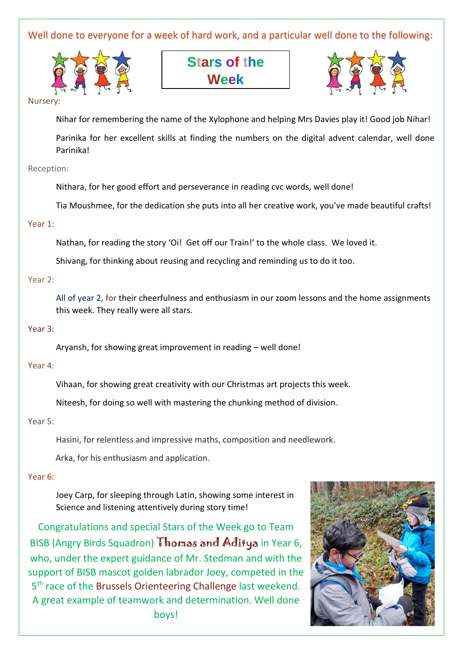Well done to everyone for a week of hard work, and a particular well done to the following:



**Stars of the Week**



#### Nurser

Nihar for remembering the name of the Xylophone and helping Mrs Davies play it! Good job Nihar!

Parinika for her excellent skills at finding the numbers on the digital advent calendar, well done Parinika!

### Reception:

Nithara, for her good effort and perseverance in reading cvc words, well done!

Tia Moushmee, for the dedication she puts into all her creative work, you've made beautiful crafts!

## Year 1:

Nathan, for reading the story 'Oi! Get off our Train!' to the whole class. We loved it.

Shivang, for thinking about reusing and recycling and reminding us to do it too.

Year 2:

All of year 2, for their cheerfulness and enthusiasm in our zoom lessons and the home assignments this week. They really were all stars.

### Year 3:

Aryansh, for showing great improvement in reading – well done!

### Year 4:

Vihaan, for showing great creativity with our Christmas art projects this week.

Niteesh, for doing so well with mastering the chunking method of division.

### Year 5:

Hasini, for relentless and impressive maths, composition and needlework.

Arka, for his enthusiasm and application.

### Year 6:

Joey Carp, for sleeping through Latin, showing some interest in Science and listening attentively during story time!

Congratulations and special Stars of the Week go to Team BISB (Angry Birds Squadron) Thomas and Aditya in Year 6, who, under the expert guidance of Mr. Stedman and with the support of BISB mascot golden labrador Joey, competed in the 5<sup>th</sup> race of the Brussels Orienteering Challenge last weekend. A great example of teamwork and determination. Well done boys!

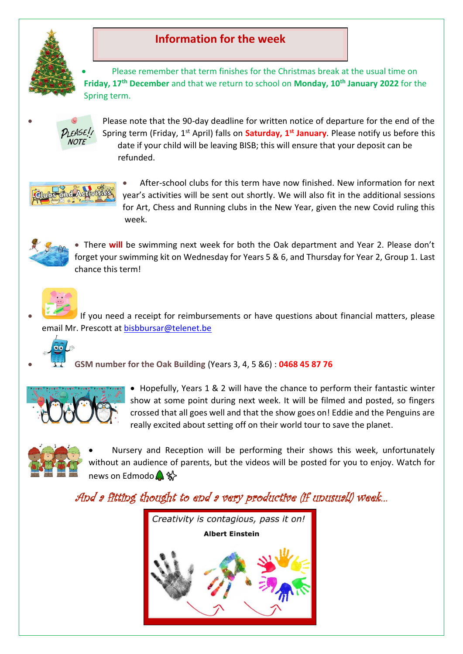

# **Information for the week**

• Please remember that term finishes for the Christmas break at the usual time on **Friday, 17th December** and that we return to school on **Monday, 10th January 2022** for the Spring term.



• Please note that the 90-day deadline for written notice of departure for the end of the Spring term (Friday, 1st April) falls on **Saturday, 1st January**. Please notify us before this date if your child will be leaving BISB; this will ensure that your deposit can be refunded.



• After-school clubs for this term have now finished. New information for next year's activities will be sent out shortly. We will also fit in the additional sessions for Art, Chess and Running clubs in the New Year, given the new Covid ruling this week.



• There **will** be swimming next week for both the Oak department and Year 2. Please don't forget your swimming kit on Wednesday for Years 5 & 6, and Thursday for Year 2, Group 1. Last chance this term!



If you need a receipt for reimbursements or have questions about financial matters, please email Mr. Prescott at [bisbbursar@telenet.be](mailto:bisbbursar@telenet.be)



• **GSM number for the Oak Building** (Years 3, 4, 5 &6) : **0468 45 87 76**



• Hopefully, Years 1 & 2 will have the chance to perform their fantastic winter show at some point during next week. It will be filmed and posted, so fingers crossed that all goes well and that the show goes on! Eddie and the Penguins are really excited about setting off on their world tour to save the planet.



• Nursery and Reception will be performing their shows this week, unfortunately without an audience of parents, but the videos will be posted for you to enjoy. Watch for news on Edmodo ✨

And a fitting thought to end a very productive (if unusual!) week…